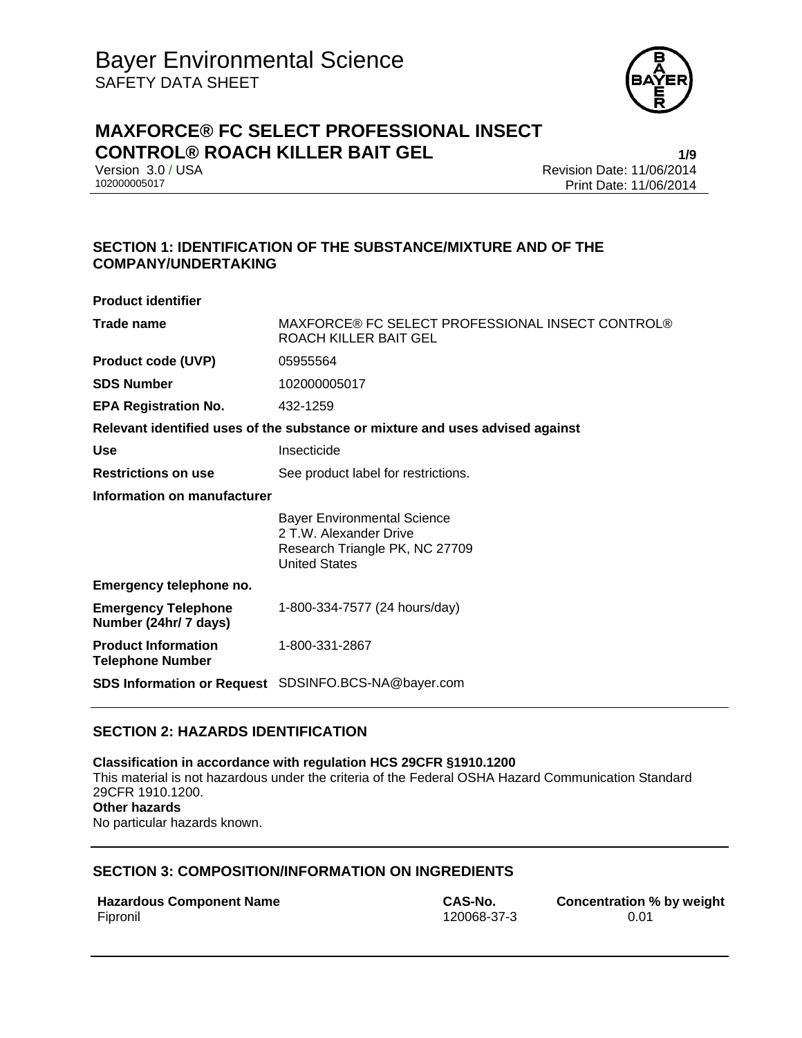

# **MAXFORCE® FC SELECT PROFESSIONAL INSECT CONTROL® ROACH KILLER BAIT GEL 1/9**

Version 3.0 / USA Revision Date: 11/06/2014<br>102000005017 Print Date: 11/06/2014 Print Date: 11/06/2014

# **SECTION 1: IDENTIFICATION OF THE SUBSTANCE/MIXTURE AND OF THE COMPANY/UNDERTAKING**

| <b>Product identifier</b>                                                     |                                                                                                                        |  |
|-------------------------------------------------------------------------------|------------------------------------------------------------------------------------------------------------------------|--|
| Trade name                                                                    | MAXFORCE® FC SELECT PROFESSIONAL INSECT CONTROL®<br>ROACH KILLER BAIT GEL                                              |  |
| <b>Product code (UVP)</b>                                                     | 05955564                                                                                                               |  |
| <b>SDS Number</b>                                                             | 102000005017                                                                                                           |  |
| <b>EPA Registration No.</b>                                                   | 432-1259                                                                                                               |  |
| Relevant identified uses of the substance or mixture and uses advised against |                                                                                                                        |  |
| <b>Use</b>                                                                    | Insecticide                                                                                                            |  |
| <b>Restrictions on use</b>                                                    | See product label for restrictions.                                                                                    |  |
| Information on manufacturer                                                   |                                                                                                                        |  |
|                                                                               | <b>Bayer Environmental Science</b><br>2 T.W. Alexander Drive<br>Research Triangle PK, NC 27709<br><b>United States</b> |  |
| Emergency telephone no.                                                       |                                                                                                                        |  |
| <b>Emergency Telephone</b><br>Number (24hr/ 7 days)                           | 1-800-334-7577 (24 hours/day)                                                                                          |  |
| <b>Product Information</b><br><b>Telephone Number</b>                         | 1-800-331-2867                                                                                                         |  |
|                                                                               | <b>SDS Information or Request</b> SDSINFO.BCS-NA@bayer.com                                                             |  |

# **SECTION 2: HAZARDS IDENTIFICATION**

**Classification in accordance with regulation HCS 29CFR §1910.1200**  This material is not hazardous under the criteria of the Federal OSHA Hazard Communication Standard 29CFR 1910.1200. **Other hazards**  No particular hazards known.

# **SECTION 3: COMPOSITION/INFORMATION ON INGREDIENTS**

| <b>Hazardous Component Name</b> |  |
|---------------------------------|--|
| Fipronil                        |  |

120068-37-3

**CAS-No. Concentration % by weight** 120068-37-3 **CONCENTENT** 0.01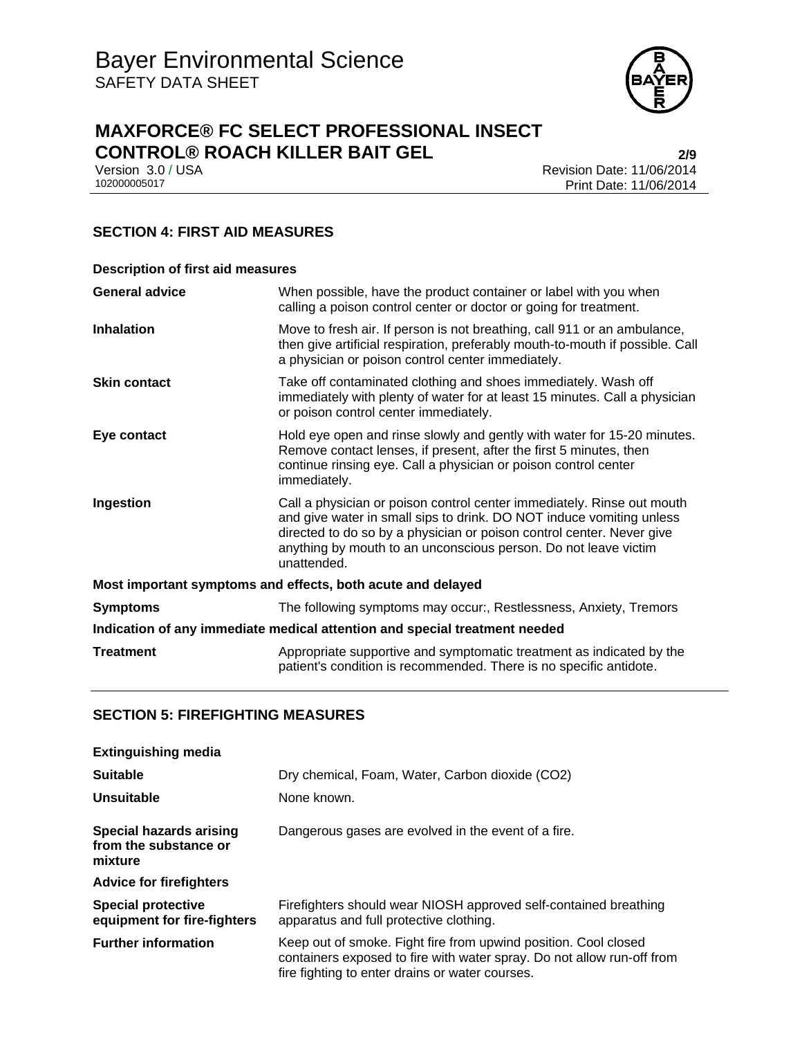

# **MAXFORCE® FC SELECT PROFESSIONAL INSECT CONTROL® ROACH KILLER BAIT GEL**<br>Version 3.0 / USA **Property Accord 2014** Revision Date: 11/06/2014

Version 3.0 / USA Revision Date: 11/06/2014<br>102000005017 Print Date: 11/06/2014 Print Date: 11/06/2014

# **SECTION 4: FIRST AID MEASURES**

| <b>Description of first aid measures</b>                                   |                                                                                                                                                                                                                                                                                                           |  |
|----------------------------------------------------------------------------|-----------------------------------------------------------------------------------------------------------------------------------------------------------------------------------------------------------------------------------------------------------------------------------------------------------|--|
| <b>General advice</b>                                                      | When possible, have the product container or label with you when<br>calling a poison control center or doctor or going for treatment.                                                                                                                                                                     |  |
| <b>Inhalation</b>                                                          | Move to fresh air. If person is not breathing, call 911 or an ambulance,<br>then give artificial respiration, preferably mouth-to-mouth if possible. Call<br>a physician or poison control center immediately.                                                                                            |  |
| <b>Skin contact</b>                                                        | Take off contaminated clothing and shoes immediately. Wash off<br>immediately with plenty of water for at least 15 minutes. Call a physician<br>or poison control center immediately.                                                                                                                     |  |
| Eye contact                                                                | Hold eye open and rinse slowly and gently with water for 15-20 minutes.<br>Remove contact lenses, if present, after the first 5 minutes, then<br>continue rinsing eye. Call a physician or poison control center<br>immediately.                                                                          |  |
| Ingestion                                                                  | Call a physician or poison control center immediately. Rinse out mouth<br>and give water in small sips to drink. DO NOT induce vomiting unless<br>directed to do so by a physician or poison control center. Never give<br>anything by mouth to an unconscious person. Do not leave victim<br>unattended. |  |
| Most important symptoms and effects, both acute and delayed                |                                                                                                                                                                                                                                                                                                           |  |
| <b>Symptoms</b>                                                            | The following symptoms may occur:, Restlessness, Anxiety, Tremors                                                                                                                                                                                                                                         |  |
| Indication of any immediate medical attention and special treatment needed |                                                                                                                                                                                                                                                                                                           |  |
| <b>Treatment</b>                                                           | Appropriate supportive and symptomatic treatment as indicated by the<br>patient's condition is recommended. There is no specific antidote.                                                                                                                                                                |  |

### **SECTION 5: FIREFIGHTING MEASURES**

| <b>Extinguishing media</b>                                  |                                                                                                                                                                                              |
|-------------------------------------------------------------|----------------------------------------------------------------------------------------------------------------------------------------------------------------------------------------------|
| <b>Suitable</b>                                             | Dry chemical, Foam, Water, Carbon dioxide (CO2)                                                                                                                                              |
| Unsuitable                                                  | None known.                                                                                                                                                                                  |
| Special hazards arising<br>from the substance or<br>mixture | Dangerous gases are evolved in the event of a fire.                                                                                                                                          |
| <b>Advice for firefighters</b>                              |                                                                                                                                                                                              |
| <b>Special protective</b><br>equipment for fire-fighters    | Firefighters should wear NIOSH approved self-contained breathing<br>apparatus and full protective clothing.                                                                                  |
| <b>Further information</b>                                  | Keep out of smoke. Fight fire from upwind position. Cool closed<br>containers exposed to fire with water spray. Do not allow run-off from<br>fire fighting to enter drains or water courses. |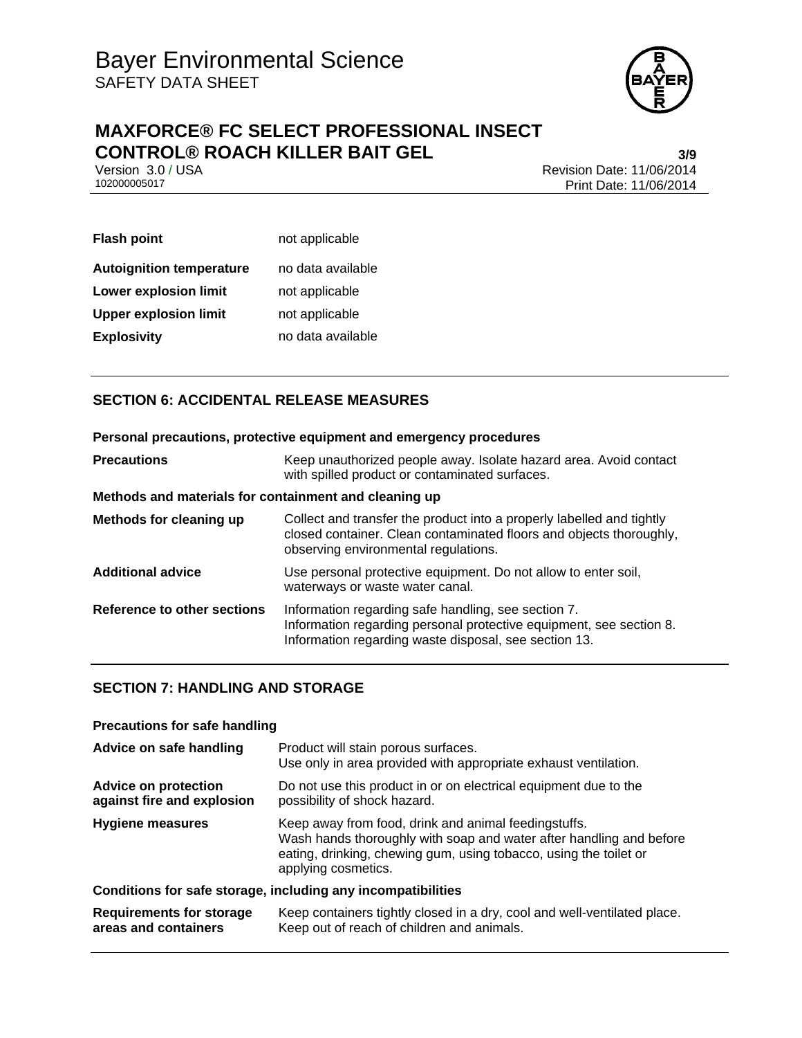

# **MAXFORCE® FC SELECT PROFESSIONAL INSECT CONTROL® ROACH KILLER BAIT GEL**<br>Version 3.0 / USA<br>Revision Date: 11/06/2014

Version 3.0 / USA Revision Date: 11/06/2014<br>102000005017 Print Date: 11/06/2014 Print Date: 11/06/2014

| <b>Flash point</b>              | not applicable    |
|---------------------------------|-------------------|
| <b>Autoignition temperature</b> | no data available |
| <b>Lower explosion limit</b>    | not applicable    |
| <b>Upper explosion limit</b>    | not applicable    |
| <b>Explosivity</b>              | no data available |

# **SECTION 6: ACCIDENTAL RELEASE MEASURES**

#### **Personal precautions, protective equipment and emergency procedures**

| <b>Precautions</b>                                    | Keep unauthorized people away. Isolate hazard area. Avoid contact<br>with spilled product or contaminated surfaces.                                                                  |  |
|-------------------------------------------------------|--------------------------------------------------------------------------------------------------------------------------------------------------------------------------------------|--|
| Methods and materials for containment and cleaning up |                                                                                                                                                                                      |  |
| Methods for cleaning up                               | Collect and transfer the product into a properly labelled and tightly<br>closed container. Clean contaminated floors and objects thoroughly,<br>observing environmental regulations. |  |
| <b>Additional advice</b>                              | Use personal protective equipment. Do not allow to enter soil,<br>waterways or waste water canal.                                                                                    |  |
| Reference to other sections                           | Information regarding safe handling, see section 7.<br>Information regarding personal protective equipment, see section 8.<br>Information regarding waste disposal, see section 13.  |  |

# **SECTION 7: HANDLING AND STORAGE**

#### **Precautions for safe handling**

| Advice on safe handling                                      | Product will stain porous surfaces.<br>Use only in area provided with appropriate exhaust ventilation.                                                                                                                  |  |
|--------------------------------------------------------------|-------------------------------------------------------------------------------------------------------------------------------------------------------------------------------------------------------------------------|--|
| <b>Advice on protection</b><br>against fire and explosion    | Do not use this product in or on electrical equipment due to the<br>possibility of shock hazard.                                                                                                                        |  |
| <b>Hygiene measures</b>                                      | Keep away from food, drink and animal feedingstuffs.<br>Wash hands thoroughly with soap and water after handling and before<br>eating, drinking, chewing gum, using tobacco, using the toilet or<br>applying cosmetics. |  |
| Conditions for safe storage, including any incompatibilities |                                                                                                                                                                                                                         |  |
| <b>Requirements for storage</b><br>areas and containers      | Keep containers tightly closed in a dry, cool and well-ventilated place.<br>Keep out of reach of children and animals.                                                                                                  |  |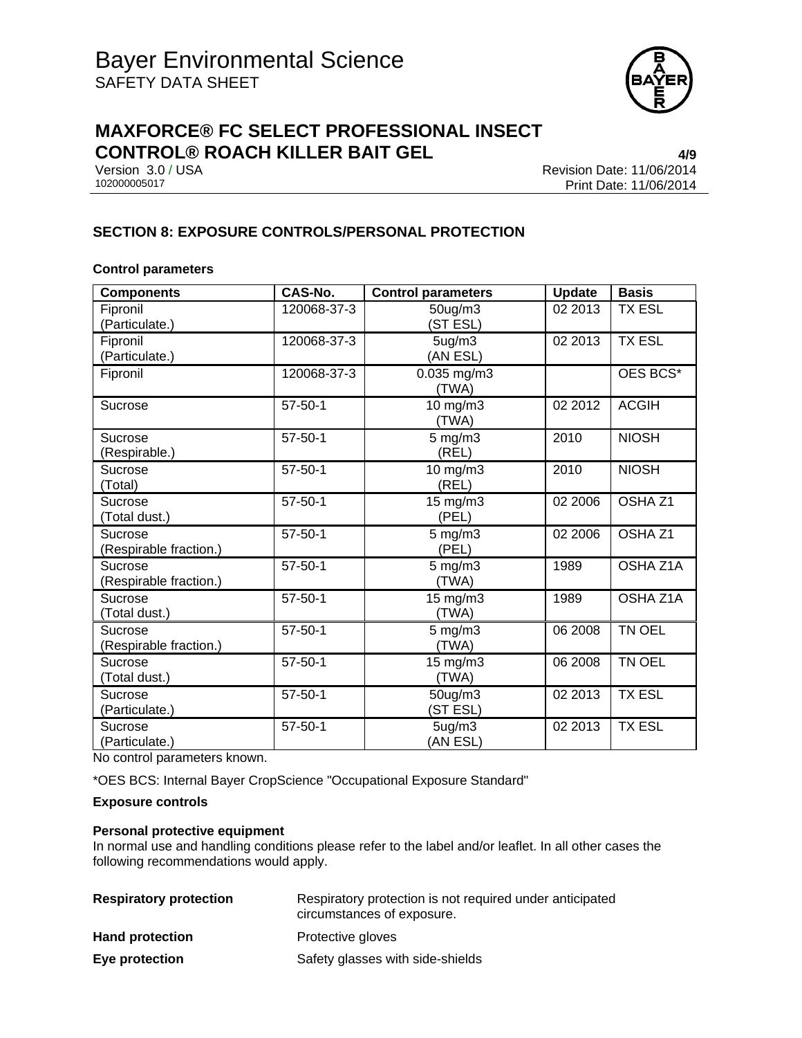

# **MAXFORCE® FC SELECT PROFESSIONAL INSECT CONTROL® ROACH KILLER BAIT GEL 4/9**

Version 3.0 / USA Revision Date: 11/06/2014<br>102000005017 Print Date: 11/06/2014 Print Date: 11/06/2014

## **SECTION 8: EXPOSURE CONTROLS/PERSONAL PROTECTION**

#### **Control parameters**

| <b>Components</b>                 | CAS-No.       | <b>Control parameters</b>       | <b>Update</b> | <b>Basis</b>       |
|-----------------------------------|---------------|---------------------------------|---------------|--------------------|
| Fipronil<br>(Particulate.)        | 120068-37-3   | 50ug/m3<br>(ST ESL)             | 02 2013       | <b>TX ESL</b>      |
| Fipronil<br>(Particulate.)        | 120068-37-3   | 5 <sub>ug</sub> /m3<br>(AN ESL) | 02 2013       | <b>TX ESL</b>      |
| Fipronil                          | 120068-37-3   | 0.035 mg/m3<br>(TWA)            |               | OES BCS*           |
| Sucrose                           | $57 - 50 - 1$ | 10 mg/m3<br>(TWA)               | 02 2012       | <b>ACGIH</b>       |
| Sucrose<br>(Respirable.)          | $57 - 50 - 1$ | $5 \text{ mg/m}$ 3<br>(REL)     | 2010          | <b>NIOSH</b>       |
| Sucrose<br>(Total)                | $57 - 50 - 1$ | 10 mg/m3<br>(REL)               | 2010          | <b>NIOSH</b>       |
| Sucrose<br>(Total dust.)          | $57 - 50 - 1$ | $15 \text{ mg/m}$<br>(PEL)      | 02 2006       | OSHA <sub>Z1</sub> |
| Sucrose<br>(Respirable fraction.) | $57 - 50 - 1$ | $5 \text{ mg/m}$ 3<br>(PEL)     | 02 2006       | OSHA <sub>Z1</sub> |
| Sucrose<br>(Respirable fraction.) | $57 - 50 - 1$ | $5$ mg/m $3$<br>(TWA)           | 1989          | OSHA Z1A           |
| Sucrose<br>(Total dust.)          | $57 - 50 - 1$ | 15 mg/m3<br>(TWA)               | 1989          | OSHA Z1A           |
| Sucrose<br>(Respirable fraction.) | $57 - 50 - 1$ | $5$ mg/m $3$<br>(TWA)           | 06 2008       | TN OEL             |
| Sucrose<br>(Total dust.)          | $57 - 50 - 1$ | 15 mg/m3<br>(TWA)               | 06 2008       | TN OEL             |
| Sucrose<br>(Particulate.)         | $57 - 50 - 1$ | 50ug/m3<br>(ST ESL)             | 02 2013       | <b>TX ESL</b>      |
| Sucrose<br>(Particulate.)         | $57 - 50 - 1$ | 5 <sub>ug</sub> /m3<br>(AN ESL) | 02 2013       | <b>TX ESL</b>      |

No control parameters known.

\*OES BCS: Internal Bayer CropScience "Occupational Exposure Standard"

#### **Exposure controls**

#### **Personal protective equipment**

In normal use and handling conditions please refer to the label and/or leaflet. In all other cases the following recommendations would apply.

| <b>Respiratory protection</b> | Respiratory protection is not required under anticipated<br>circumstances of exposure. |  |
|-------------------------------|----------------------------------------------------------------------------------------|--|
| <b>Hand protection</b>        | Protective gloves                                                                      |  |
| Eye protection                | Safety glasses with side-shields                                                       |  |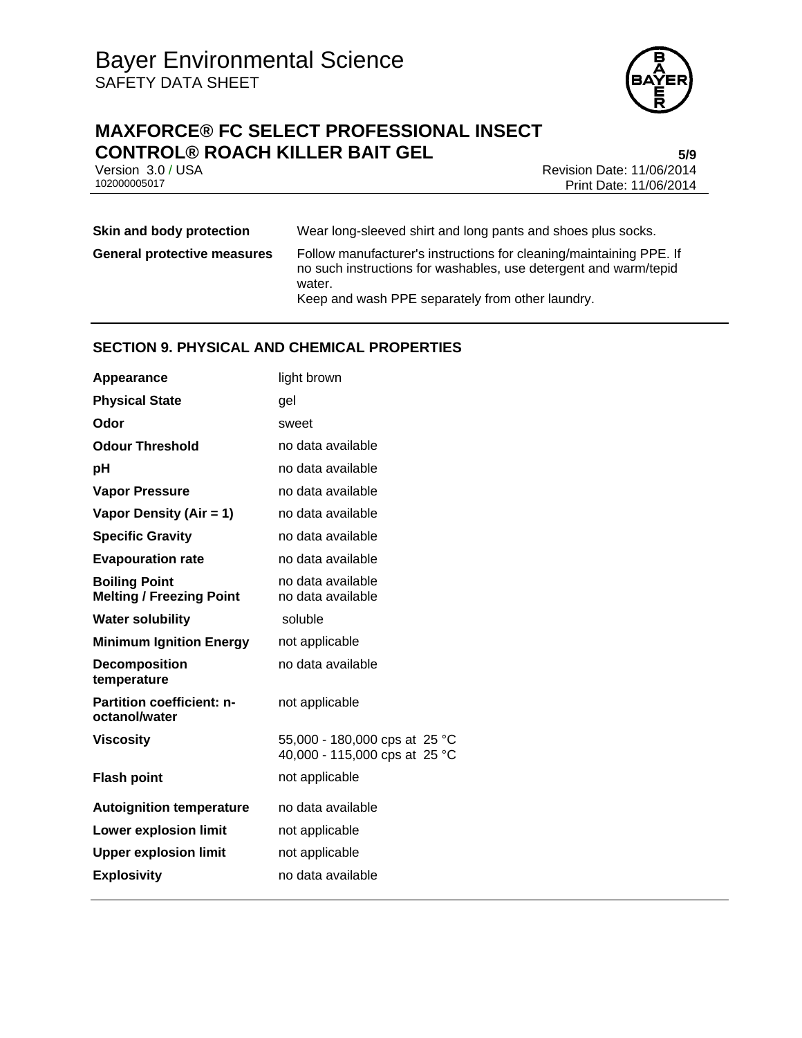

# **MAXFORCE® FC SELECT PROFESSIONAL INSECT CONTROL® ROACH KILLER BAIT GEL 5/9**

Version 3.0 / USA Revision Date: 11/06/2014<br>102000005017 Print Date: 11/06/2014 Print Date: 11/06/2014

# **Skin and body protection** Wear long-sleeved shirt and long pants and shoes plus socks.

**General protective measures** Follow manufacturer's instructions for cleaning/maintaining PPE. If no such instructions for washables, use detergent and warm/tepid water. Keep and wash PPE separately from other laundry.

# **SECTION 9. PHYSICAL AND CHEMICAL PROPERTIES**

| Appearance                                              | light brown                                                    |
|---------------------------------------------------------|----------------------------------------------------------------|
| <b>Physical State</b>                                   | gel                                                            |
| Odor                                                    | sweet                                                          |
| <b>Odour Threshold</b>                                  | no data available                                              |
| рH                                                      | no data available                                              |
| <b>Vapor Pressure</b>                                   | no data available                                              |
| Vapor Density (Air = 1)                                 | no data available                                              |
| <b>Specific Gravity</b>                                 | no data available                                              |
| <b>Evapouration rate</b>                                | no data available                                              |
| <b>Boiling Point</b><br><b>Melting / Freezing Point</b> | no data available<br>no data available                         |
| <b>Water solubility</b>                                 | soluble                                                        |
| <b>Minimum Ignition Energy</b>                          | not applicable                                                 |
| <b>Decomposition</b><br>temperature                     | no data available                                              |
| <b>Partition coefficient: n-</b><br>octanol/water       | not applicable                                                 |
| <b>Viscosity</b>                                        | 55,000 - 180,000 cps at 25 °C<br>40,000 - 115,000 cps at 25 °C |
| <b>Flash point</b>                                      | not applicable                                                 |
| <b>Autoignition temperature</b>                         | no data available                                              |
| <b>Lower explosion limit</b>                            | not applicable                                                 |
| <b>Upper explosion limit</b>                            | not applicable                                                 |
| <b>Explosivity</b>                                      | no data available                                              |
|                                                         |                                                                |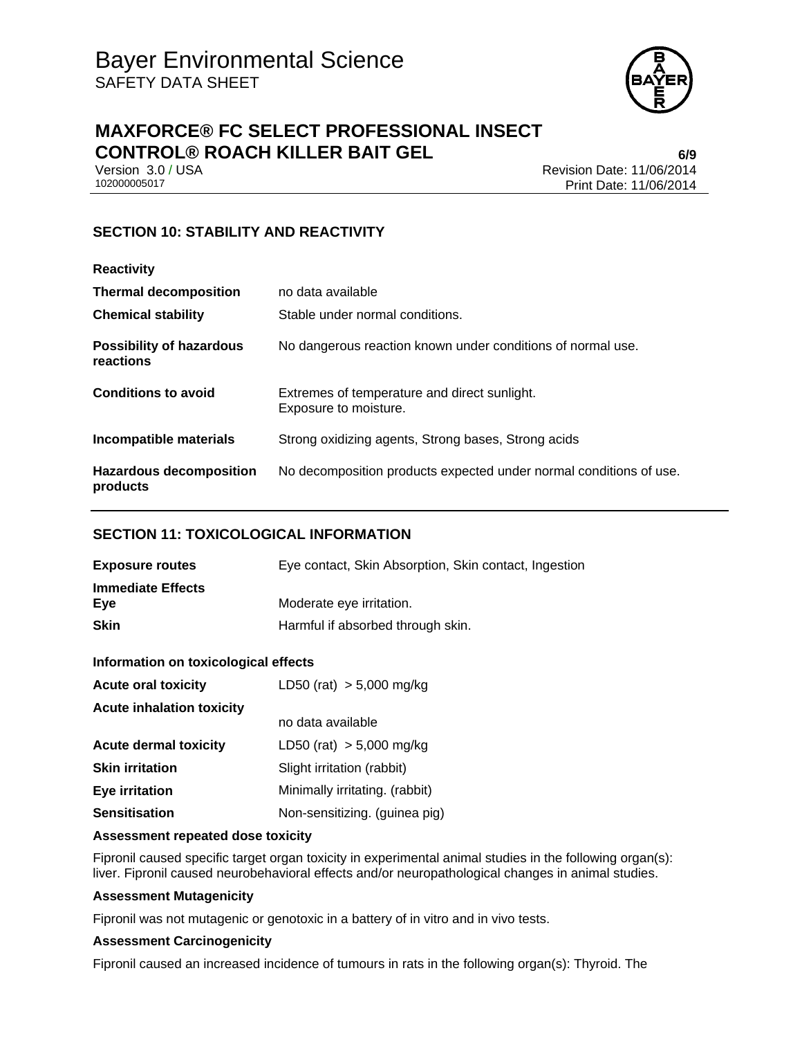

# **MAXFORCE® FC SELECT PROFESSIONAL INSECT CONTROL® ROACH KILLER BAIT GEL 6/9**

Version 3.0 / USA Revision Date: 11/06/2014<br>102000005017 Print Date: 11/06/2014 Print Date: 11/06/2014

# **SECTION 10: STABILITY AND REACTIVITY**

| <b>Reactivity</b>                            |                                                                       |
|----------------------------------------------|-----------------------------------------------------------------------|
| <b>Thermal decomposition</b>                 | no data available                                                     |
| <b>Chemical stability</b>                    | Stable under normal conditions.                                       |
| <b>Possibility of hazardous</b><br>reactions | No dangerous reaction known under conditions of normal use.           |
| <b>Conditions to avoid</b>                   | Extremes of temperature and direct sunlight.<br>Exposure to moisture. |
| Incompatible materials                       | Strong oxidizing agents, Strong bases, Strong acids                   |
| <b>Hazardous decomposition</b><br>products   | No decomposition products expected under normal conditions of use.    |

### **SECTION 11: TOXICOLOGICAL INFORMATION**

| <b>Exposure routes</b>   | Eye contact, Skin Absorption, Skin contact, Ingestion |
|--------------------------|-------------------------------------------------------|
| <b>Immediate Effects</b> |                                                       |
| Eve                      | Moderate eye irritation.                              |
| <b>Skin</b>              | Harmful if absorbed through skin.                     |

### **Information on toxicological effects**

| <b>Acute oral toxicity</b>       | LD50 (rat) $> 5,000$ mg/kg     |
|----------------------------------|--------------------------------|
| <b>Acute inhalation toxicity</b> |                                |
|                                  | no data available              |
| <b>Acute dermal toxicity</b>     | LD50 (rat) $> 5,000$ mg/kg     |
| <b>Skin irritation</b>           | Slight irritation (rabbit)     |
| <b>Eye irritation</b>            | Minimally irritating. (rabbit) |
| <b>Sensitisation</b>             | Non-sensitizing. (guinea pig)  |

#### **Assessment repeated dose toxicity**

Fipronil caused specific target organ toxicity in experimental animal studies in the following organ(s): liver. Fipronil caused neurobehavioral effects and/or neuropathological changes in animal studies.

#### **Assessment Mutagenicity**

Fipronil was not mutagenic or genotoxic in a battery of in vitro and in vivo tests.

### **Assessment Carcinogenicity**

Fipronil caused an increased incidence of tumours in rats in the following organ(s): Thyroid. The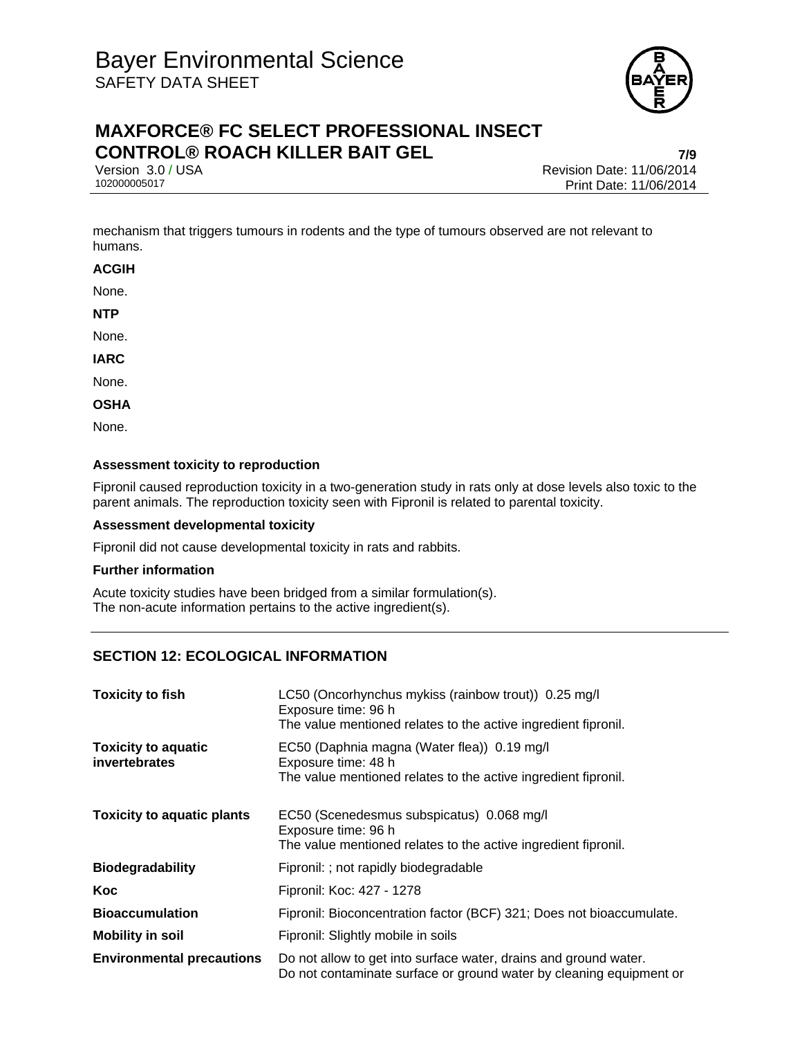

# **MAXFORCE® FC SELECT PROFESSIONAL INSECT CONTROL® ROACH KILLER BAIT GEL 7/9**

Version 3.0 / USA Revision Date: 11/06/2014<br>102000005017 Print Date: 11/06/2014 Print Date: 11/06/2014

mechanism that triggers tumours in rodents and the type of tumours observed are not relevant to humans.

**ACGIH** 

None.

**NTP** 

None.

**IARC** 

None.

**OSHA** 

None.

#### **Assessment toxicity to reproduction**

Fipronil caused reproduction toxicity in a two-generation study in rats only at dose levels also toxic to the parent animals. The reproduction toxicity seen with Fipronil is related to parental toxicity.

#### **Assessment developmental toxicity**

Fipronil did not cause developmental toxicity in rats and rabbits.

#### **Further information**

Acute toxicity studies have been bridged from a similar formulation(s). The non-acute information pertains to the active ingredient(s).

# **SECTION 12: ECOLOGICAL INFORMATION**

| <b>Toxicity to fish</b>                     | LC50 (Oncorhynchus mykiss (rainbow trout)) 0.25 mg/l<br>Exposure time: 96 h<br>The value mentioned relates to the active ingredient fipronil. |
|---------------------------------------------|-----------------------------------------------------------------------------------------------------------------------------------------------|
| <b>Toxicity to aquatic</b><br>invertebrates | EC50 (Daphnia magna (Water flea)) 0.19 mg/l<br>Exposure time: 48 h<br>The value mentioned relates to the active ingredient fipronil.          |
| <b>Toxicity to aquatic plants</b>           | EC50 (Scenedesmus subspicatus) 0.068 mg/l<br>Exposure time: 96 h<br>The value mentioned relates to the active ingredient fipronil.            |
| <b>Biodegradability</b>                     | Fipronil: ; not rapidly biodegradable                                                                                                         |
| Koc                                         | Fipronil: Koc: 427 - 1278                                                                                                                     |
| <b>Bioaccumulation</b>                      | Fipronil: Bioconcentration factor (BCF) 321; Does not bioaccumulate.                                                                          |
| <b>Mobility in soil</b>                     | Fipronil: Slightly mobile in soils                                                                                                            |
| <b>Environmental precautions</b>            | Do not allow to get into surface water, drains and ground water.<br>Do not contaminate surface or ground water by cleaning equipment or       |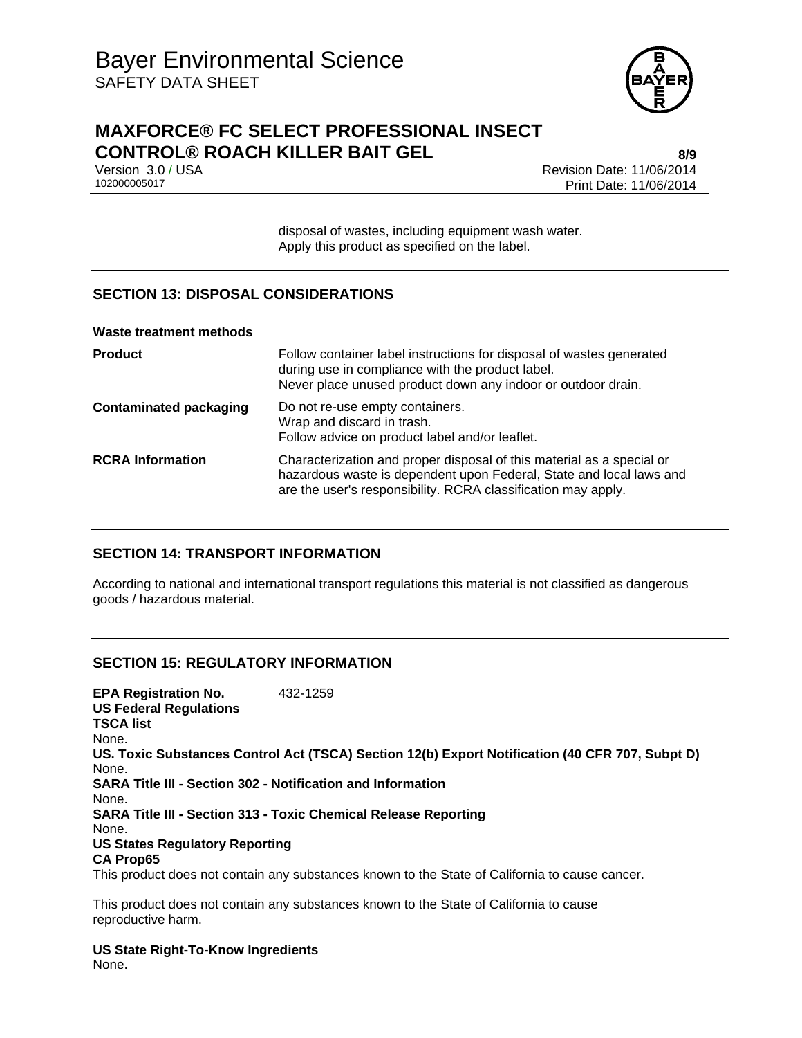

# **MAXFORCE® FC SELECT PROFESSIONAL INSECT CONTROL® ROACH KILLER BAIT GEL 8/9**

Version 3.0 / USA Revision Date: 11/06/2014<br>102000005017 Print Date: 11/06/2014 Print Date: 11/06/2014

> disposal of wastes, including equipment wash water. Apply this product as specified on the label.

# **SECTION 13: DISPOSAL CONSIDERATIONS**

| <b>Waste treatment methods</b> |                                                                                                                                                                                                               |
|--------------------------------|---------------------------------------------------------------------------------------------------------------------------------------------------------------------------------------------------------------|
| <b>Product</b>                 | Follow container label instructions for disposal of wastes generated<br>during use in compliance with the product label.<br>Never place unused product down any indoor or outdoor drain.                      |
| <b>Contaminated packaging</b>  | Do not re-use empty containers.<br>Wrap and discard in trash.<br>Follow advice on product label and/or leaflet.                                                                                               |
| <b>RCRA Information</b>        | Characterization and proper disposal of this material as a special or<br>hazardous waste is dependent upon Federal, State and local laws and<br>are the user's responsibility. RCRA classification may apply. |

### **SECTION 14: TRANSPORT INFORMATION**

According to national and international transport regulations this material is not classified as dangerous goods / hazardous material.

### **SECTION 15: REGULATORY INFORMATION**

**EPA Registration No.** 432-1259 **US Federal Regulations TSCA list** None. **US. Toxic Substances Control Act (TSCA) Section 12(b) Export Notification (40 CFR 707, Subpt D)** None. **SARA Title III - Section 302 - Notification and Information** None. **SARA Title III - Section 313 - Toxic Chemical Release Reporting** None. **US States Regulatory Reporting CA Prop65** This product does not contain any substances known to the State of California to cause cancer.

This product does not contain any substances known to the State of California to cause reproductive harm.

**US State Right-To-Know Ingredients** None.